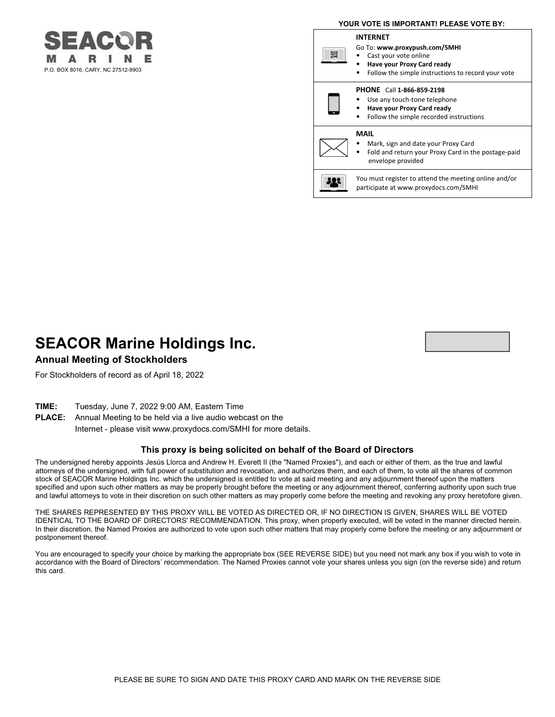# P.O. BOX 8016, CARY, NC 27512-9903

#### **YOUR VOTE IS IMPORTANT! PLEASE VOTE BY: INTERNET** Go To: **www.proxypush.com/SMHI** 驟 • Cast your vote online • **Have your Proxy Card ready** • Follow the simple instructions to record your vote **PHONE** Call **1-866-859-2198** Use any touch-tone telephone • **Have your Proxy Card ready** • Follow the simple recorded instructions **MAIL** • Mark, sign and date your Proxy Card • Fold and return your Proxy Card in the postage-paid envelope provided You must register to attend the meeting online and/or 11 participate at www.proxydocs.com/SMHI

## **SEACOR Marine Holdings Inc.**

#### **Annual Meeting of Stockholders**

For Stockholders of record as of April 18, 2022

**TIME:** Tuesday, June 7, 2022 9:00 AM, Eastern Time

**PLACE:** Annual Meeting to be held via a live audio webcast on the Internet - please visit www.proxydocs.com/SMHI for more details.

#### **This proxy is being solicited on behalf of the Board of Directors**

The undersigned hereby appoints Jesús Llorca and Andrew H. Everett II (the "Named Proxies"), and each or either of them, as the true and lawful attorneys of the undersigned, with full power of substitution and revocation, and authorizes them, and each of them, to vote all the shares of common stock of SEACOR Marine Holdings Inc. which the undersigned is entitled to vote at said meeting and any adjournment thereof upon the matters specified and upon such other matters as may be properly brought before the meeting or any adjournment thereof, conferring authority upon such true and lawful attorneys to vote in their discretion on such other matters as may properly come before the meeting and revoking any proxy heretofore given.

THE SHARES REPRESENTED BY THIS PROXY WILL BE VOTED AS DIRECTED OR, IF NO DIRECTION IS GIVEN, SHARES WILL BE VOTED IDENTICAL TO THE BOARD OF DIRECTORS' RECOMMENDATION. This proxy, when properly executed, will be voted in the manner directed herein. In their discretion, the Named Proxies are authorized to vote upon such other matters that may properly come before the meeting or any adjournment or postponement thereof.

You are encouraged to specify your choice by marking the appropriate box (SEE REVERSE SIDE) but you need not mark any box if you wish to vote in accordance with the Board of Directors' recommendation. The Named Proxies cannot vote your shares unless you sign (on the reverse side) and return this card.